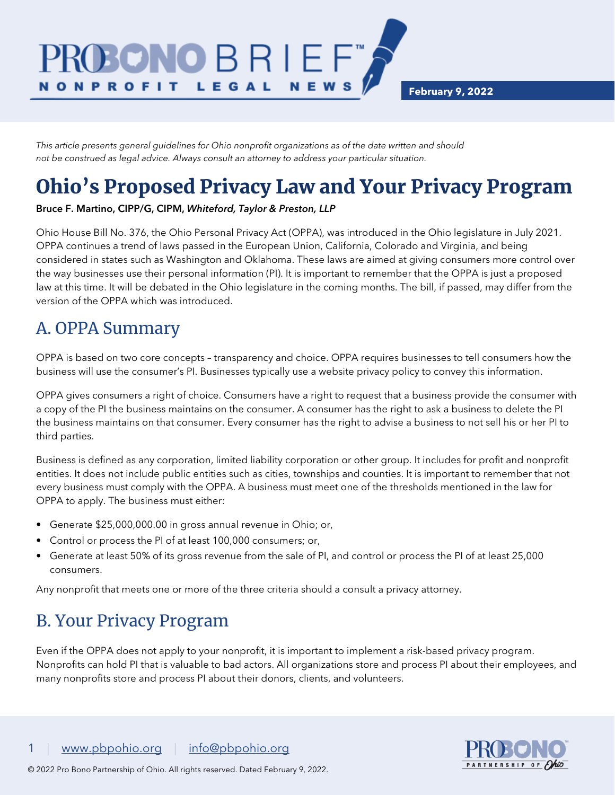**February 9, 2022**

*This article presents general guidelines for Ohio nonprofit organizations as of the date written and should not be construed as legal advice. Always consult an attorney to address your particular situation.*

DNO B R I E F

LEGAL

# Ohio's Proposed Privacy Law and Your Privacy Program

**NEWS** 

#### Bruce F. Martino, CIPP/G, CIPM, *Whiteford, Taylor & Preston, LLP*

Ohio House Bill No. 376, the Ohio Personal Privacy Act (OPPA), was introduced in the Ohio legislature in July 2021. OPPA continues a trend of laws passed in the European Union, California, Colorado and Virginia, and being considered in states such as Washington and Oklahoma. These laws are aimed at giving consumers more control over the way businesses use their personal information (PI). It is important to remember that the OPPA is just a proposed law at this time. It will be debated in the Ohio legislature in the coming months. The bill, if passed, may differ from the version of the OPPA which was introduced.

#### A. OPPA Summary

**N O N P R O F I T** 

OPPA is based on two core concepts – transparency and choice. OPPA requires businesses to tell consumers how the business will use the consumer's PI. Businesses typically use a website privacy policy to convey this information.

OPPA gives consumers a right of choice. Consumers have a right to request that a business provide the consumer with a copy of the PI the business maintains on the consumer. A consumer has the right to ask a business to delete the PI the business maintains on that consumer. Every consumer has the right to advise a business to not sell his or her PI to third parties.

Business is defined as any corporation, limited liability corporation or other group. It includes for profit and nonprofit entities. It does not include public entities such as cities, townships and counties. It is important to remember that not every business must comply with the OPPA. A business must meet one of the thresholds mentioned in the law for OPPA to apply. The business must either:

- Generate \$25,000,000.00 in gross annual revenue in Ohio; or,
- Control or process the PI of at least 100,000 consumers; or,
- Generate at least 50% of its gross revenue from the sale of PI, and control or process the PI of at least 25,000 consumers.

Any nonprofit that meets one or more of the three criteria should a consult a privacy attorney.

#### B. Your Privacy Program

Even if the OPPA does not apply to your nonprofit, it is important to implement a risk-based privacy program. Nonprofits can hold PI that is valuable to bad actors. All organizations store and process PI about their employees, and many nonprofits store and process PI about their donors, clients, and volunteers.